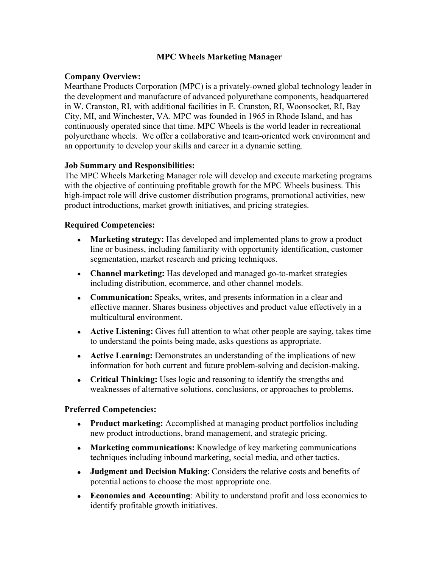## **MPC Wheels Marketing Manager**

## **Company Overview:**

Mearthane Products Corporation (MPC) is a privately-owned global technology leader in the development and manufacture of advanced polyurethane components, headquartered in W. Cranston, RI, with additional facilities in E. Cranston, RI, Woonsocket, RI, Bay City, MI, and Winchester, VA. MPC was founded in 1965 in Rhode Island, and has continuously operated since that time. MPC Wheels is the world leader in recreational polyurethane wheels. We offer a collaborative and team-oriented work environment and an opportunity to develop your skills and career in a dynamic setting.

## **Job Summary and Responsibilities:**

The MPC Wheels Marketing Manager role will develop and execute marketing programs with the objective of continuing profitable growth for the MPC Wheels business. This high-impact role will drive customer distribution programs, promotional activities, new product introductions, market growth initiatives, and pricing strategies.

## **Required Competencies:**

- **Marketing strategy:** Has developed and implemented plans to grow a product line or business, including familiarity with opportunity identification, customer segmentation, market research and pricing techniques.
- **Channel marketing:** Has developed and managed go-to-market strategies including distribution, ecommerce, and other channel models.
- **Communication:** Speaks, writes, and presents information in a clear and effective manner. Shares business objectives and product value effectively in a multicultural environment.
- **Active Listening:** Gives full attention to what other people are saying, takes time to understand the points being made, asks questions as appropriate.
- **Active Learning:** Demonstrates an understanding of the implications of new information for both current and future problem-solving and decision-making.
- **Critical Thinking:** Uses logic and reasoning to identify the strengths and weaknesses of alternative solutions, conclusions, or approaches to problems.

#### **Preferred Competencies:**

- **Product marketing:** Accomplished at managing product portfolios including new product introductions, brand management, and strategic pricing.
- **Marketing communications:** Knowledge of key marketing communications techniques including inbound marketing, social media, and other tactics.
- **Judgment and Decision Making**: Considers the relative costs and benefits of potential actions to choose the most appropriate one.
- **Economics and Accounting**: Ability to understand profit and loss economics to identify profitable growth initiatives.